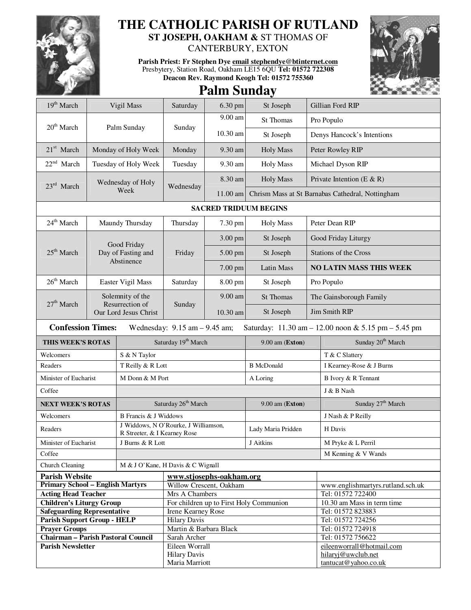

## **THE CATHOLIC PARISH OF RUTLAND**

**ST JOSEPH, OAKHAM &** ST THOMAS OF CANTERBURY, EXTON

**Parish Priest: Fr Stephen Dye email stephendye@btinternet.com** Presbytery, Station Road, Oakham LE15 6QU **Tel: 01572 722308 Deacon Rev. Raymond Keogh Tel: 01572 755360** 



## **Palm Sunday**

| 19 <sup>th</sup> March                                                                                                                                  | Vigil Mass                                                   |                                                  | Saturday                                      | 6.30 pm                  | St Joseph                               |                                                  | Gillian Ford RIP                           |  |
|---------------------------------------------------------------------------------------------------------------------------------------------------------|--------------------------------------------------------------|--------------------------------------------------|-----------------------------------------------|--------------------------|-----------------------------------------|--------------------------------------------------|--------------------------------------------|--|
| $20th$ March                                                                                                                                            |                                                              |                                                  | Sunday                                        | 9.00 am                  | St Thomas                               |                                                  | Pro Populo                                 |  |
|                                                                                                                                                         |                                                              | Palm Sunday                                      |                                               | 10.30 am                 | St Joseph                               | Denys Hancock's Intentions                       |                                            |  |
| $21st$ March                                                                                                                                            | Monday of Holy Week                                          |                                                  | Monday                                        | 9.30 am                  | <b>Holy Mass</b>                        | Peter Rowley RIP                                 |                                            |  |
| $22nd$ March                                                                                                                                            | Tuesday of Holy Week                                         |                                                  | Tuesday                                       | 9.30 am                  | <b>Holy Mass</b>                        | Michael Dyson RIP                                |                                            |  |
|                                                                                                                                                         |                                                              | Wednesday of Holy                                | Wednesday                                     | 8.30 am                  | <b>Holy Mass</b>                        | Private Intention (E & R)                        |                                            |  |
|                                                                                                                                                         | $23rd$ March<br>Week                                         |                                                  |                                               | $11.00$ am               |                                         | Chrism Mass at St Barnabas Cathedral, Nottingham |                                            |  |
| <b>SACRED TRIDUUM BEGINS</b>                                                                                                                            |                                                              |                                                  |                                               |                          |                                         |                                                  |                                            |  |
| 24 <sup>th</sup> March                                                                                                                                  | Maundy Thursday                                              |                                                  | Thursday                                      | 7.30 pm                  | <b>Holy Mass</b>                        | Peter Dean RIP                                   |                                            |  |
| $25th$ March                                                                                                                                            |                                                              |                                                  | Friday                                        | 3.00 pm                  | St Joseph                               | Good Friday Liturgy                              |                                            |  |
|                                                                                                                                                         |                                                              | Good Friday<br>Day of Fasting and                |                                               | 5.00 pm                  | St Joseph                               | Stations of the Cross                            |                                            |  |
|                                                                                                                                                         | Abstinence                                                   |                                                  |                                               | 7.00 pm                  | Latin Mass                              | <b>NO LATIN MASS THIS WEEK</b>                   |                                            |  |
| $26th$ March                                                                                                                                            |                                                              | Easter Vigil Mass                                | Saturday                                      | 8.00 pm                  | St Joseph                               | Pro Populo                                       |                                            |  |
|                                                                                                                                                         | Solemnity of the<br>Resurrection of<br>Our Lord Jesus Christ |                                                  | Sunday                                        | 9.00 am                  | <b>St Thomas</b>                        | The Gainsborough Family                          |                                            |  |
| $27th$ March                                                                                                                                            |                                                              |                                                  |                                               | 10.30 am                 | St Joseph                               | Jim Smith RIP                                    |                                            |  |
| <b>Confession Times:</b><br>Wednesday: $9.15$ am $- 9.45$ am;<br>Saturday: $11.30 \text{ am} - 12.00 \text{ noon} \& 5.15 \text{ pm} - 5.45 \text{ pm}$ |                                                              |                                                  |                                               |                          |                                         |                                                  |                                            |  |
| THIS WEEK'S ROTAS                                                                                                                                       |                                                              |                                                  |                                               |                          |                                         |                                                  |                                            |  |
|                                                                                                                                                         |                                                              |                                                  | Saturday 19 <sup>th</sup> March               |                          | 9.00 am (Exton)                         |                                                  | Sunday 20 <sup>th</sup> March              |  |
| Welcomers                                                                                                                                               |                                                              | S & N Taylor                                     |                                               |                          |                                         |                                                  | T & C Slattery                             |  |
| Readers                                                                                                                                                 |                                                              | T Reilly & R Lott                                |                                               |                          | <b>B</b> McDonald                       |                                                  | I Kearney-Rose & J Burns                   |  |
| Minister of Eucharist                                                                                                                                   |                                                              | M Donn & M Port                                  |                                               |                          | A Loring                                |                                                  | B Ivory & R Tennant                        |  |
| Coffee                                                                                                                                                  |                                                              |                                                  |                                               |                          |                                         |                                                  | J & B Nash                                 |  |
| <b>NEXT WEEK'S ROTAS</b>                                                                                                                                |                                                              |                                                  | Saturday 26 <sup>th</sup> March               |                          | 9.00 am (Exton)                         |                                                  | Sunday 27 <sup>th</sup> March              |  |
| Welcomers                                                                                                                                               |                                                              | B Francis & J Widdows                            |                                               |                          |                                         |                                                  | J Nash & P Reilly                          |  |
| Readers                                                                                                                                                 |                                                              | J Widdows, N O'Rourke, J Williamson,             |                                               |                          | Lady Maria Pridden                      |                                                  | H Davis                                    |  |
| Minister of Eucharist                                                                                                                                   |                                                              | R Streeter, & I Kearney Rose<br>J Burns & R Lott |                                               |                          | J Aitkins                               |                                                  | M Pryke & L Perril                         |  |
| Coffee                                                                                                                                                  |                                                              |                                                  |                                               |                          |                                         |                                                  | M Kenning & V Wands                        |  |
| <b>Church Cleaning</b>                                                                                                                                  |                                                              | M & J O'Kane, H Davis & C Wignall                |                                               |                          |                                         |                                                  |                                            |  |
| <b>Parish Website</b>                                                                                                                                   |                                                              |                                                  |                                               | www.stjosephs-oakham.org |                                         |                                                  |                                            |  |
| <b>Primary School - English Martyrs</b>                                                                                                                 |                                                              |                                                  |                                               | Willow Crescent, Oakham  |                                         |                                                  | www.englishmartyrs.rutland.sch.uk          |  |
| <b>Acting Head Teacher</b>                                                                                                                              |                                                              |                                                  | Mrs A Chambers                                |                          |                                         |                                                  | Tel: 01572 722400                          |  |
| <b>Children's Liturgy Group</b>                                                                                                                         |                                                              |                                                  |                                               |                          | For children up to First Holy Communion |                                                  | 10.30 am Mass in term time                 |  |
| <b>Safeguarding Representative</b>                                                                                                                      |                                                              |                                                  | Irene Kearney Rose                            |                          |                                         |                                                  | Tel: 01572 823883                          |  |
| <b>Parish Support Group - HELP</b><br><b>Prayer Groups</b>                                                                                              |                                                              |                                                  | <b>Hilary Davis</b><br>Martin & Barbara Black |                          |                                         |                                                  | Tel: 01572 724256<br>Tel: 01572 724918     |  |
| <b>Chairman - Parish Pastoral Council</b>                                                                                                               |                                                              |                                                  | Sarah Archer                                  |                          |                                         |                                                  | Tel: 01572 756622                          |  |
| <b>Parish Newsletter</b>                                                                                                                                |                                                              |                                                  | Eileen Worrall                                |                          |                                         |                                                  | eileenworrall@hotmail.com                  |  |
|                                                                                                                                                         |                                                              |                                                  | <b>Hilary Davis</b><br>Maria Marriott         |                          |                                         |                                                  | hilaryj@uwclub.net<br>tantucat@yahoo.co.uk |  |